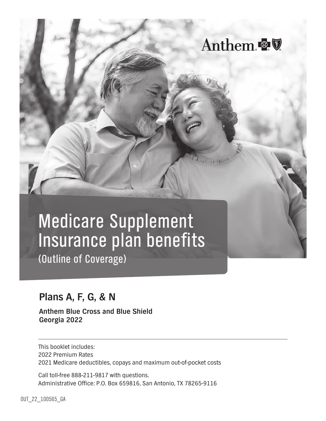

Anthem &

A. ILITTI A INC

(Outline of Coverage)

# **Plans A, F, G, & N**

**Anthem Blue Cross and Blue Shield Georgia 2022**

This booklet includes: 2022 Premium Rates 2021 Medicare deductibles, copays and maximum out-of-pocket costs

Call toll-free 888-211-9817 with questions. Administrative Office: P.O. Box 659816, San Antonio, TX 78265-9116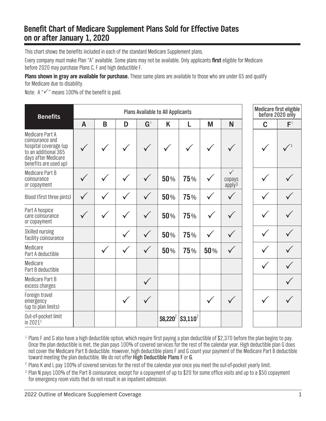## **Benefit Chart of Medicare Supplement Plans Sold for Effective Dates on or after January 1, 2020**

This chart shows the benefits included in each of the standard Medicare Supplement plans.

Every company must make Plan "A" available. Some plans may not be available. Only applicants **first** eligible for Medicare before 2020 may purchase Plans C, F and high deductible F.

**Plans shown in gray are available for purchase.** These same plans are available to those who are under 65 and qualify for Medicare due to disability.

Note:  $A'''$  means 100% of the benefit is paid.

| <b>Benefits</b>                                                                                                                            |                | <b>Plans Available to All Applicants</b> |              |                |            |            |     |                                              |  | Medicare first eligible<br>before 2020 only |       |
|--------------------------------------------------------------------------------------------------------------------------------------------|----------------|------------------------------------------|--------------|----------------|------------|------------|-----|----------------------------------------------|--|---------------------------------------------|-------|
|                                                                                                                                            | $\overline{A}$ | B                                        | D            | G <sup>1</sup> | K          | L          | M   | N                                            |  | $\mathbf C$                                 | $F^1$ |
| <b>Medicare Part A</b><br>coinsurance and<br>hospital coverage (up<br>to an additional 365<br>days after Medicare<br>benefits are used up) |                |                                          |              |                |            |            |     |                                              |  |                                             |       |
| Medicare Part B<br>coinsurance<br>or copayment                                                                                             |                |                                          |              |                | 50%        | 75%        |     | $\checkmark$<br>copays<br>apply <sup>3</sup> |  |                                             |       |
| Blood (first three pints)                                                                                                                  |                |                                          |              |                | 50%        | 75%        |     |                                              |  |                                             |       |
| Part A hospice<br>care coinsurance<br>or copayment                                                                                         |                |                                          |              | $\checkmark$   | 50%        | 75%        |     |                                              |  |                                             |       |
| Skilled nursing<br>facility coinsurance                                                                                                    |                |                                          | $\checkmark$ | $\checkmark$   | 50%        | 75%        |     |                                              |  |                                             |       |
| Medicare<br>Part A deductible                                                                                                              |                |                                          | $\checkmark$ |                | 50%        | 75%        | 50% |                                              |  |                                             |       |
| Medicare<br>Part B deductible                                                                                                              |                |                                          |              |                |            |            |     |                                              |  |                                             |       |
| Medicare Part B<br>excess charges                                                                                                          |                |                                          |              |                |            |            |     |                                              |  |                                             |       |
| Foreign travel<br>emergency<br>(up to plan limits)                                                                                         |                |                                          |              |                |            |            |     |                                              |  |                                             |       |
| Out-of-pocket limit<br>in $2021^2$                                                                                                         |                |                                          |              |                | $$6,220^2$ | $$3,110^2$ |     |                                              |  |                                             |       |

<sup>1</sup> Plans F and G also have a high deductible option, which require first paying a plan deductible of \$2,370 before the plan begins to pay. Once the plan deductible is met, the plan pays 100% of covered services for the rest of the calendar year. High deductible plan G does not cover the Medicare Part B deductible. However, high deductible plans F and G count your payment of the Medicare Part B deductible toward meeting the plan deductible. We do not offer High Deductible Plans F or G.

<sup>2</sup> Plans K and L pay 100% of covered services for the rest of the calendar year once you meet the out-of-pocket yearly limit.

<sup>3</sup> Plan N pays 100% of the Part B coinsurance, except for a copayment of up to \$20 for some office visits and up to a \$50 copayment for emergency room visits that do not result in an inpatient admission.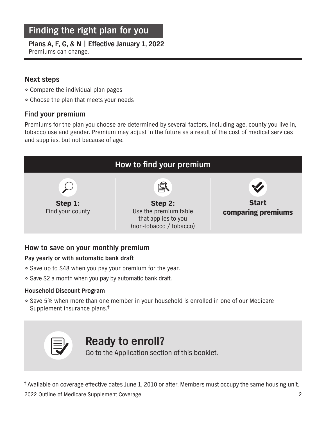# Finding the right plan for you

# **Plans A, F, G, & N | Effective January 1, 2022**

Premiums can change.

### **Next steps**

- Compare the individual plan pages
- Choose the plan that meets your needs

### **Find your premium**

Premiums for the plan you choose are determined by several factors, including age, county you live in, tobacco use and gender. Premium may adjust in the future as a result of the cost of medical services and supplies, but not because of age.



### **How to save on your monthly premium**

#### **Pay yearly or with automatic bank draft**

- Save up to \$48 when you pay your premium for the year.
- Save \$2 a month when you pay by automatic bank draft.

#### **Household Discount Program**

<sup>1</sup> Save 5% when more than one member in your household is enrolled in one of our Medicare Supplement insurance plans.‡



# **Ready to enroll?**

Go to the Application section of this booklet.

‡ Available on coverage effective dates June 1, 2010 or after. Members must occupy the same housing unit.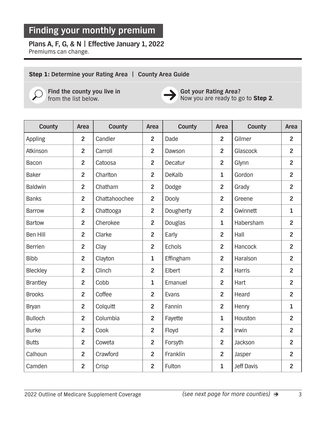# **Plans A, F, G, & N | Effective January 1, 2022**

Premiums can change.

### Step 1: Determine your Rating Area | County Area Guide



**Find the county you live in** from the list below.



**Got your Rating Area?**  Now you are ready to go to Step 2.

| County          | Area           | County        | Area           | County        | Area           | County            | Area           |
|-----------------|----------------|---------------|----------------|---------------|----------------|-------------------|----------------|
| Appling         | $\overline{2}$ | Candler       | $\overline{2}$ | Dade          | $\overline{2}$ | Gilmer            | $\overline{2}$ |
| Atkinson        | $\overline{2}$ | Carroll       | $\overline{2}$ | Dawson        | $\overline{2}$ | Glascock          | $\overline{2}$ |
| Bacon           | $\overline{2}$ | Catoosa       | $\overline{2}$ | Decatur       | $\overline{2}$ | Glynn             | $\overline{2}$ |
| <b>Baker</b>    | $\overline{2}$ | Charlton      | $\overline{2}$ | <b>DeKalb</b> | $\mathbf{1}$   | Gordon            | $\overline{2}$ |
| <b>Baldwin</b>  | $\overline{2}$ | Chatham       | $\overline{2}$ | Dodge         | $\overline{2}$ | Grady             | $\overline{2}$ |
| <b>Banks</b>    | $\overline{2}$ | Chattahoochee | $\overline{2}$ | <b>Dooly</b>  | $\overline{2}$ | Greene            | $\overline{2}$ |
| <b>Barrow</b>   | $\overline{2}$ | Chattooga     | $\overline{2}$ | Dougherty     | $\overline{2}$ | Gwinnett          | $\mathbf{1}$   |
| <b>Bartow</b>   | $\overline{2}$ | Cherokee      | $\overline{2}$ | Douglas       | $\mathbf{1}$   | Habersham         | $\overline{2}$ |
| <b>Ben Hill</b> | $\overline{2}$ | Clarke        | $\overline{2}$ | Early         | $\overline{2}$ | Hall              | $\overline{2}$ |
| <b>Berrien</b>  | $\overline{2}$ | Clay          | $\overline{2}$ | <b>Echols</b> | $\overline{2}$ | Hancock           | $\overline{2}$ |
| <b>Bibb</b>     | $\overline{2}$ | Clayton       | $\mathbf{1}$   | Effingham     | $\overline{2}$ | Haralson          | $\overline{2}$ |
| Bleckley        | $\overline{2}$ | Clinch        | $\overline{2}$ | Elbert        | $\overline{2}$ | Harris            | $\overline{2}$ |
| <b>Brantley</b> | $\overline{2}$ | Cobb          | $\mathbf{1}$   | Emanuel       | $\overline{2}$ | Hart              | $\overline{2}$ |
| <b>Brooks</b>   | $\overline{2}$ | Coffee        | $\overline{2}$ | Evans         | $\overline{2}$ | Heard             | $\overline{2}$ |
| <b>Bryan</b>    | $\overline{2}$ | Colquitt      | $\overline{2}$ | Fannin        | $\overline{2}$ | Henry             | $\mathbf{1}$   |
| <b>Bulloch</b>  | $\overline{2}$ | Columbia      | $\overline{2}$ | Fayette       | $\mathbf{1}$   | Houston           | $\overline{2}$ |
| <b>Burke</b>    | $\overline{2}$ | Cook          | $\overline{2}$ | Floyd         | $\overline{2}$ | Irwin             | $\overline{2}$ |
| <b>Butts</b>    | $\overline{2}$ | Coweta        | $\overline{2}$ | Forsyth       | $\overline{2}$ | Jackson           | $\overline{2}$ |
| Calhoun         | $\overline{2}$ | Crawford      | $\overline{2}$ | Franklin      | $\overline{2}$ | Jasper            | $\overline{2}$ |
| Camden          | $\overline{2}$ | Crisp         | $\overline{2}$ | Fulton        | $\mathbf{1}$   | <b>Jeff Davis</b> | $\overline{2}$ |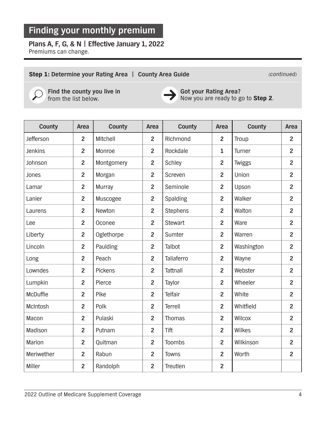## **Plans A, F, G, & N | Effective January 1, 2022**

Premiums can change.

#### Step 1: Determine your Rating Area | County Area Guide **Continued** (continued)



**Find the county you live in** from the list below.



**Got your Rating Area?**  Now you are ready to go to Step 2.

| County         | Area           | County         | Area           | County          | Area           | County        | Area           |
|----------------|----------------|----------------|----------------|-----------------|----------------|---------------|----------------|
| Jefferson      | $\overline{2}$ | Mitchell       | $\overline{2}$ | Richmond        | $\overline{2}$ | Troup         | $\overline{2}$ |
| <b>Jenkins</b> | $\overline{2}$ | Monroe         | $\overline{2}$ | Rockdale        | $\mathbf{1}$   | Turner        | $\overline{2}$ |
| Johnson        | $\overline{2}$ | Montgomery     | $\overline{2}$ | Schley          | $\overline{2}$ | <b>Twiggs</b> | $\overline{2}$ |
| Jones          | $\overline{2}$ | Morgan         | $\overline{2}$ | Screven         | $\overline{2}$ | Union         | $\overline{2}$ |
| Lamar          | $\overline{2}$ | Murray         | $\overline{2}$ | Seminole        | $\overline{2}$ | Upson         | $\overline{2}$ |
| Lanier         | $\overline{2}$ | Muscogee       | $\overline{2}$ | Spalding        | $\overline{2}$ | Walker        | $\overline{2}$ |
| Laurens        | $\overline{2}$ | Newton         | $\overline{2}$ | <b>Stephens</b> | $\overline{2}$ | Walton        | $\overline{2}$ |
| Lee            | $\overline{2}$ | Oconee         | $\overline{2}$ | <b>Stewart</b>  | $\overline{2}$ | Ware          | $\overline{2}$ |
| Liberty        | $\overline{2}$ | Oglethorpe     | $\overline{2}$ | Sumter          | $\overline{2}$ | Warren        | $\overline{2}$ |
| Lincoln        | $\overline{2}$ | Paulding       | $\overline{2}$ | Talbot          | $\overline{2}$ | Washington    | $\overline{2}$ |
| Long           | $\overline{2}$ | Peach          | $\overline{2}$ | Taliaferro      | $\overline{2}$ | Wayne         | $\overline{2}$ |
| Lowndes        | $\overline{2}$ | <b>Pickens</b> | $\overline{2}$ | <b>Tattnall</b> | $\overline{2}$ | Webster       | $\overline{2}$ |
| Lumpkin        | $\overline{2}$ | Pierce         | $\overline{2}$ | Taylor          | $\overline{2}$ | Wheeler       | $\overline{2}$ |
| McDuffie       | $\overline{2}$ | Pike           | $\overline{2}$ | Telfair         | $\overline{2}$ | White         | $\overline{2}$ |
| McIntosh       | $\overline{2}$ | Polk           | $\overline{2}$ | Terrell         | $\overline{2}$ | Whitfield     | $\overline{2}$ |
| Macon          | $\overline{2}$ | Pulaski        | $\overline{2}$ | Thomas          | $\overline{2}$ | Wilcox        | $\overline{2}$ |
| Madison        | $\overline{2}$ | Putnam         | $\overline{2}$ | <b>Tift</b>     | $\overline{2}$ | Wilkes        | $\overline{2}$ |
| Marion         | $\overline{2}$ | Quitman        | $\overline{2}$ | <b>Toombs</b>   | $\overline{2}$ | Wilkinson     | $\overline{2}$ |
| Meriwether     | $\overline{2}$ | Rabun          | $\overline{2}$ | <b>Towns</b>    | $\overline{2}$ | Worth         | $\overline{2}$ |
| Miller         | $\overline{2}$ | Randolph       | $\overline{2}$ | Treutlen        | $\overline{2}$ |               |                |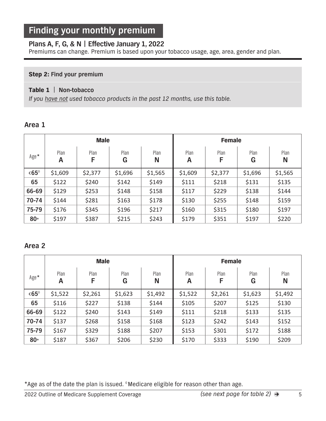### **Plans A, F, G, & N | Effective January 1, 2022**

Premiums can change. Premium is based upon your tobacco usage, age, area, gender and plan.

#### **Step 2: Find your premium**

#### Table 1| **Non-tobacco**

If you have not used tobacco products in the past 12 months, use this table.

#### **Area 1**

|               |           | <b>Male</b> |           |           | <b>Female</b> |         |           |           |
|---------------|-----------|-------------|-----------|-----------|---------------|---------|-----------|-----------|
| $Age*$        | Plan<br>A | Plan<br>F   | Plan<br>G | Plan<br>N | Plan<br>Α     | Plan    | Plan<br>G | Plan<br>N |
| $<65^{\circ}$ | \$1,609   | \$2,377     | \$1,696   | \$1,565   | \$1,609       | \$2,377 | \$1,696   | \$1,565   |
| 65            | \$122     | \$240       | \$142     | \$149     | \$111         | \$218   | \$131     | \$135     |
| 66-69         | \$129     | \$253       | \$148     | \$158     | \$117         | \$229   | \$138     | \$144     |
| 70-74         | \$144     | \$281       | \$163     | \$178     | \$130         | \$255   | \$148     | \$159     |
| 75-79         | \$176     | \$345       | \$196     | \$217     | \$160         | \$315   | \$180     | \$197     |
| $80+$         | \$197     | \$387       | \$215     | \$243     | \$179         | \$351   | \$197     | \$220     |

#### **Area 2**

|               | <b>Male</b> |           |           |           | <b>Female</b> |           |           |           |
|---------------|-------------|-----------|-----------|-----------|---------------|-----------|-----------|-----------|
| Age*          | Plan<br>A   | Plan<br>F | Plan<br>G | Plan<br>N | Plan<br>A     | Plan<br>F | Plan<br>G | Plan<br>N |
| $<65^{\circ}$ | \$1,522     | \$2,261   | \$1,623   | \$1,492   | \$1,522       | \$2,261   | \$1,623   | \$1,492   |
| 65            | \$116       | \$227     | \$138     | \$144     | \$105         | \$207     | \$125     | \$130     |
| 66-69         | \$122       | \$240     | \$143     | \$149     | \$111         | \$218     | \$133     | \$135     |
| 70-74         | \$137       | \$268     | \$158     | \$168     | \$123         | \$242     | \$143     | \$152     |
| 75-79         | \$167       | \$329     | \$188     | \$207     | \$153         | \$301     | \$172     | \$188     |
| $80+$         | \$187       | \$367     | \$206     | \$230     | \$170         | \$333     | \$190     | \$209     |

\*Age as of the date the plan is issued. ◊ Medicare eligible for reason other than age.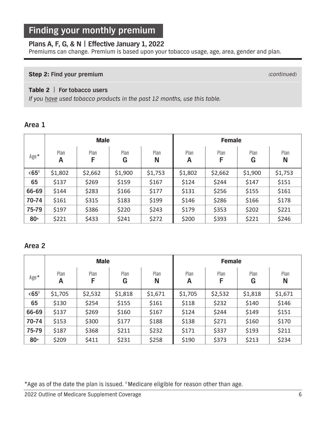### **Plans A, F, G, & N | Effective January 1, 2022**

Premiums can change. Premium is based upon your tobacco usage, age, area, gender and plan.

#### **Step 2: Find your premium** (*continued*)

#### Table 2| **For tobacco users**

If you have used tobacco products in the past 12 months, use this table.

#### **Area 1**

|               |           | <b>Male</b> |           |           | <b>Female</b> |         |           |           |
|---------------|-----------|-------------|-----------|-----------|---------------|---------|-----------|-----------|
| $Age*$        | Plan<br>A | Plan<br>F   | Plan<br>G | Plan<br>N | Plan<br>A     | Plan    | Plan<br>G | Plan<br>N |
| $<65^{\circ}$ | \$1,802   | \$2,662     | \$1,900   | \$1,753   | \$1,802       | \$2,662 | \$1,900   | \$1,753   |
| 65            | \$137     | \$269       | \$159     | \$167     | \$124         | \$244   | \$147     | \$151     |
| 66-69         | \$144     | \$283       | \$166     | \$177     | \$131         | \$256   | \$155     | \$161     |
| 70-74         | \$161     | \$315       | \$183     | \$199     | \$146         | \$286   | \$166     | \$178     |
| 75-79         | \$197     | \$386       | \$220     | \$243     | \$179         | \$353   | \$202     | \$221     |
| $80 +$        | \$221     | \$433       | \$241     | \$272     | \$200         | \$393   | \$221     | \$246     |

#### **Area 2**

|               |           | <b>Male</b> |           |           |           | <b>Female</b> |           |           |  |
|---------------|-----------|-------------|-----------|-----------|-----------|---------------|-----------|-----------|--|
| Age*          | Plan<br>A | Plan<br>F   | Plan<br>G | Plan<br>N | Plan<br>Α | Plan<br>F     | Plan<br>G | Plan<br>N |  |
| $<65^{\circ}$ | \$1,705   | \$2,532     | \$1,818   | \$1,671   | \$1,705   | \$2,532       | \$1,818   | \$1,671   |  |
| 65            | \$130     | \$254       | \$155     | \$161     | \$118     | \$232         | \$140     | \$146     |  |
| 66-69         | \$137     | \$269       | \$160     | \$167     | \$124     | \$244         | \$149     | \$151     |  |
| 70-74         | \$153     | \$300       | \$177     | \$188     | \$138     | \$271         | \$160     | \$170     |  |
| 75-79         | \$187     | \$368       | \$211     | \$232     | \$171     | \$337         | \$193     | \$211     |  |
| $80+$         | \$209     | \$411       | \$231     | \$258     | \$190     | \$373         | \$213     | \$234     |  |

\*Age as of the date the plan is issued. ◊ Medicare eligible for reason other than age.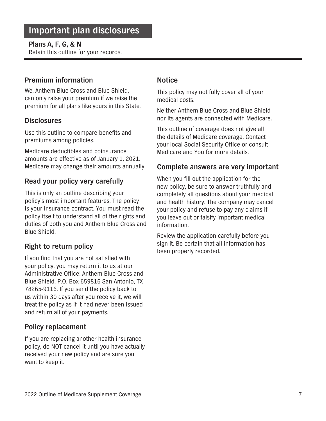### **Plans A, F, G, & N**

Retain this outline for your records.

### **Premium information**

We, Anthem Blue Cross and Blue Shield, can only raise your premium if we raise the premium for all plans like yours in this State.

### **Disclosures**

Use this outline to compare benefits and premiums among policies.

Medicare deductibles and coinsurance amounts are effective as of January 1, 2021. Medicare may change their amounts annually.

### **Read your policy very carefully**

This is only an outline describing your policy's most important features. The policy is your insurance contract. You must read the policy itself to understand all of the rights and duties of both you and Anthem Blue Cross and Blue Shield.

## **Right to return policy**

If you find that you are not satisfied with your policy, you may return it to us at our Administrative Office: Anthem Blue Cross and Blue Shield, P.O. Box 659816 San Antonio, TX 78265-9116. If you send the policy back to us within 30 days after you receive it, we will treat the policy as if it had never been issued and return all of your payments.

### **Policy replacement**

If you are replacing another health insurance policy, do NOT cancel it until you have actually received your new policy and are sure you want to keep it.

### **Notice**

This policy may not fully cover all of your medical costs.

Neither Anthem Blue Cross and Blue Shield nor its agents are connected with Medicare.

This outline of coverage does not give all the details of Medicare coverage. Contact your local Social Security Office or consult Medicare and You for more details.

### **Complete answers are very important**

When you fill out the application for the new policy, be sure to answer truthfully and completely all questions about your medical and health history. The company may cancel your policy and refuse to pay any claims if you leave out or falsify important medical information.

Review the application carefully before you sign it. Be certain that all information has been properly recorded.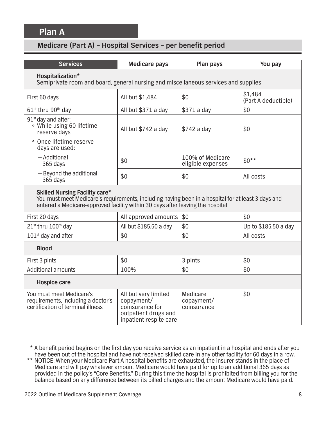## **Plan A**

| <b>Services</b>                                                                                                                                                                                                               | <b>Medicare pays</b>                                                                                    | Plan pays                             | You pay                        |  |  |  |  |  |  |
|-------------------------------------------------------------------------------------------------------------------------------------------------------------------------------------------------------------------------------|---------------------------------------------------------------------------------------------------------|---------------------------------------|--------------------------------|--|--|--|--|--|--|
| Hospitalization*                                                                                                                                                                                                              | Semiprivate room and board, general nursing and miscellaneous services and supplies                     |                                       |                                |  |  |  |  |  |  |
| First 60 days                                                                                                                                                                                                                 | All but \$1,484                                                                                         | \$0                                   | \$1,484<br>(Part A deductible) |  |  |  |  |  |  |
| 61 <sup>st</sup> thru 90 <sup>th</sup> day                                                                                                                                                                                    | All but \$371 a day                                                                                     | \$371 a day                           | \$0                            |  |  |  |  |  |  |
| $91st$ day and after:<br>• While using 60 lifetime<br>reserve days                                                                                                                                                            | All but \$742 a day                                                                                     | \$742 a day                           | \$0                            |  |  |  |  |  |  |
| · Once lifetime reserve<br>days are used:                                                                                                                                                                                     |                                                                                                         |                                       |                                |  |  |  |  |  |  |
| - Additional<br>365 days                                                                                                                                                                                                      | \$0                                                                                                     | 100% of Medicare<br>eligible expenses | $$0**$                         |  |  |  |  |  |  |
| - Beyond the additional<br>365 days                                                                                                                                                                                           | \$0                                                                                                     | \$0                                   | All costs                      |  |  |  |  |  |  |
| <b>Skilled Nursing Facility care*</b><br>You must meet Medicare's requirements, including having been in a hospital for at least 3 days and<br>entered a Medicare-approved facility within 30 days after leaving the hospital |                                                                                                         |                                       |                                |  |  |  |  |  |  |
| First 20 days                                                                                                                                                                                                                 | All approved amounts                                                                                    | \$0                                   | \$0                            |  |  |  |  |  |  |
| 21st thru 100 <sup>th</sup> day                                                                                                                                                                                               | All but \$185.50 a day                                                                                  | \$0                                   | Up to \$185.50 a day           |  |  |  |  |  |  |
| $101st$ day and after                                                                                                                                                                                                         | \$0                                                                                                     | \$0                                   | All costs                      |  |  |  |  |  |  |
| <b>Blood</b>                                                                                                                                                                                                                  |                                                                                                         |                                       |                                |  |  |  |  |  |  |
| First 3 pints                                                                                                                                                                                                                 | \$0                                                                                                     | 3 pints                               | \$0                            |  |  |  |  |  |  |
| <b>Additional amounts</b>                                                                                                                                                                                                     | 100%                                                                                                    | \$0                                   | \$0                            |  |  |  |  |  |  |
| <b>Hospice care</b>                                                                                                                                                                                                           |                                                                                                         |                                       |                                |  |  |  |  |  |  |
| You must meet Medicare's<br>requirements, including a doctor's<br>certification of terminal illness                                                                                                                           | All but very limited<br>copayment/<br>coinsurance for<br>outpatient drugs and<br>inpatient respite care | Medicare<br>copayment/<br>coinsurance | \$0                            |  |  |  |  |  |  |

- \* A benefit period begins on the first day you receive service as an inpatient in a hospital and ends after you have been out of the hospital and have not received skilled care in any other facility for 60 days in a row.
- \*\* NOTICE: When your Medicare Part A hospital benefits are exhausted, the insurer stands in the place of Medicare and will pay whatever amount Medicare would have paid for up to an additional 365 days as provided in the policy's "Core Benefits." During this time the hospital is prohibited from billing you for the balance based on any difference between its billed charges and the amount Medicare would have paid.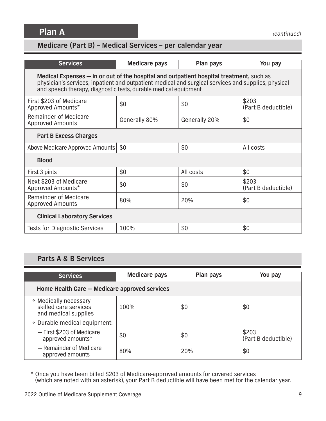**Plan A**

# **Medicare (Part B) – Medical Services – per calendar year**

| <b>Services</b>                                                                                                                                                                                                                                                   | Medicare pays | Plan pays     | You pay                      |  |  |  |  |  |
|-------------------------------------------------------------------------------------------------------------------------------------------------------------------------------------------------------------------------------------------------------------------|---------------|---------------|------------------------------|--|--|--|--|--|
| Medical Expenses – in or out of the hospital and outpatient hospital treatment, such as<br>physician's services, inpatient and outpatient medical and surgical services and supplies, physical<br>and speech therapy, diagnostic tests, durable medical equipment |               |               |                              |  |  |  |  |  |
| First \$203 of Medicare<br>Approved Amounts*                                                                                                                                                                                                                      | \$0           | \$0           | \$203<br>(Part B deductible) |  |  |  |  |  |
| Remainder of Medicare<br><b>Approved Amounts</b>                                                                                                                                                                                                                  | Generally 80% | Generally 20% | \$0                          |  |  |  |  |  |
| <b>Part B Excess Charges</b>                                                                                                                                                                                                                                      |               |               |                              |  |  |  |  |  |
| Above Medicare Approved Amounts   \$0                                                                                                                                                                                                                             |               | \$0           | All costs                    |  |  |  |  |  |
| <b>Blood</b>                                                                                                                                                                                                                                                      |               |               |                              |  |  |  |  |  |
| First 3 pints                                                                                                                                                                                                                                                     | \$0           | All costs     | \$0                          |  |  |  |  |  |
| Next \$203 of Medicare<br>Approved Amounts*                                                                                                                                                                                                                       | \$0           | \$0           | \$203<br>(Part B deductible) |  |  |  |  |  |
| Remainder of Medicare<br><b>Approved Amounts</b>                                                                                                                                                                                                                  | 80%           | 20%           | \$0                          |  |  |  |  |  |
| <b>Clinical Laboratory Services</b>                                                                                                                                                                                                                               |               |               |                              |  |  |  |  |  |
| <b>Tests for Diagnostic Services</b>                                                                                                                                                                                                                              | 100%          | \$0           | \$0                          |  |  |  |  |  |

## **Parts A & B Services**

| <b>Services</b>                                                        | <b>Medicare pays</b> | Plan pays | You pay                      |  |  |  |
|------------------------------------------------------------------------|----------------------|-----------|------------------------------|--|--|--|
| Home Health Care - Medicare approved services                          |                      |           |                              |  |  |  |
| • Medically necessary<br>skilled care services<br>and medical supplies | 100%                 | \$0       | \$0                          |  |  |  |
| • Durable medical equipment:                                           |                      |           |                              |  |  |  |
| - First \$203 of Medicare<br>approved amounts*                         | \$0                  | \$0       | \$203<br>(Part B deductible) |  |  |  |
| - Remainder of Medicare<br>approved amounts                            | 80%                  | 20%       | \$0                          |  |  |  |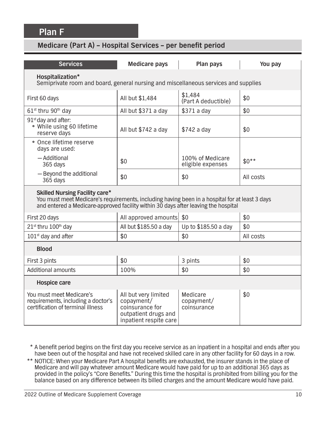| <b>Services</b>                                                                                                                                                                                                               | <b>Medicare pays</b>                                                                                    | Plan pays                             | You pay   |  |  |  |  |  |
|-------------------------------------------------------------------------------------------------------------------------------------------------------------------------------------------------------------------------------|---------------------------------------------------------------------------------------------------------|---------------------------------------|-----------|--|--|--|--|--|
| Hospitalization*<br>Semiprivate room and board, general nursing and miscellaneous services and supplies                                                                                                                       |                                                                                                         |                                       |           |  |  |  |  |  |
| First 60 days                                                                                                                                                                                                                 | All but \$1,484                                                                                         | \$1,484<br>(Part A deductible)        | \$0       |  |  |  |  |  |
| $61st$ thru 90 <sup>th</sup> day                                                                                                                                                                                              | All but \$371 a day                                                                                     | \$371 a day                           | \$0       |  |  |  |  |  |
| $91st$ day and after:<br>• While using 60 lifetime<br>reserve days                                                                                                                                                            | All but \$742 a day                                                                                     | \$742 a day                           | \$0       |  |  |  |  |  |
| · Once lifetime reserve<br>days are used:                                                                                                                                                                                     |                                                                                                         |                                       |           |  |  |  |  |  |
| - Additional<br>365 days                                                                                                                                                                                                      | \$0                                                                                                     | 100% of Medicare<br>eligible expenses | $$0**$    |  |  |  |  |  |
| - Beyond the additional<br>365 days                                                                                                                                                                                           | \$0                                                                                                     | \$0                                   | All costs |  |  |  |  |  |
| <b>Skilled Nursing Facility care*</b><br>You must meet Medicare's requirements, including having been in a hospital for at least 3 days<br>and entered a Medicare-approved facility within 30 days after leaving the hospital |                                                                                                         |                                       |           |  |  |  |  |  |
| First 20 days                                                                                                                                                                                                                 | All approved amounts                                                                                    | \$0                                   | \$0       |  |  |  |  |  |
| 21st thru 100 <sup>th</sup> day                                                                                                                                                                                               | All but \$185.50 a day                                                                                  | Up to \$185.50 a day                  | \$0       |  |  |  |  |  |
| $101st$ day and after                                                                                                                                                                                                         | \$0                                                                                                     | \$0                                   | All costs |  |  |  |  |  |
| <b>Blood</b>                                                                                                                                                                                                                  |                                                                                                         |                                       |           |  |  |  |  |  |
| First 3 pints                                                                                                                                                                                                                 | \$0                                                                                                     | 3 pints                               | \$0       |  |  |  |  |  |
| <b>Additional amounts</b>                                                                                                                                                                                                     | 100%                                                                                                    | \$0                                   | \$0       |  |  |  |  |  |
| <b>Hospice care</b>                                                                                                                                                                                                           |                                                                                                         |                                       |           |  |  |  |  |  |
| You must meet Medicare's<br>requirements, including a doctor's<br>certification of terminal illness                                                                                                                           | All but very limited<br>copayment/<br>coinsurance for<br>outpatient drugs and<br>inpatient respite care | Medicare<br>copayment/<br>coinsurance | \$0       |  |  |  |  |  |

- \* A benefit period begins on the first day you receive service as an inpatient in a hospital and ends after you have been out of the hospital and have not received skilled care in any other facility for 60 days in a row.
- \*\* NOTICE: When your Medicare Part A hospital benefits are exhausted, the insurer stands in the place of Medicare and will pay whatever amount Medicare would have paid for up to an additional 365 days as provided in the policy's "Core Benefits." During this time the hospital is prohibited from billing you for the balance based on any difference between its billed charges and the amount Medicare would have paid.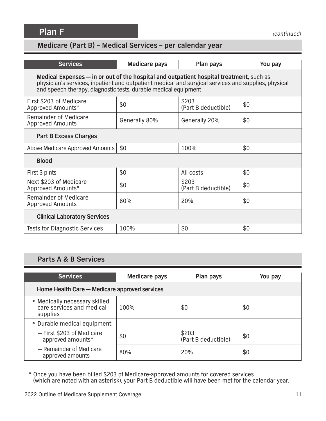**Plan F**

# **Medicare (Part B) – Medical Services – per calendar year**

| <b>Services</b>                                                                                                                                                                                                                                                   | Medicare pays | Plan pays                    | You pay |  |  |  |  |  |
|-------------------------------------------------------------------------------------------------------------------------------------------------------------------------------------------------------------------------------------------------------------------|---------------|------------------------------|---------|--|--|--|--|--|
| Medical Expenses - in or out of the hospital and outpatient hospital treatment, such as<br>physician's services, inpatient and outpatient medical and surgical services and supplies, physical<br>and speech therapy, diagnostic tests, durable medical equipment |               |                              |         |  |  |  |  |  |
| First \$203 of Medicare<br>Approved Amounts*                                                                                                                                                                                                                      | \$0           | \$203<br>(Part B deductible) | \$0     |  |  |  |  |  |
| Remainder of Medicare<br><b>Approved Amounts</b>                                                                                                                                                                                                                  | Generally 80% | Generally 20%                | \$0     |  |  |  |  |  |
| <b>Part B Excess Charges</b>                                                                                                                                                                                                                                      |               |                              |         |  |  |  |  |  |
| Above Medicare Approved Amounts   \$0                                                                                                                                                                                                                             |               | 100%                         | \$0     |  |  |  |  |  |
| <b>Blood</b>                                                                                                                                                                                                                                                      |               |                              |         |  |  |  |  |  |
| First 3 pints                                                                                                                                                                                                                                                     | \$0           | All costs                    | \$0     |  |  |  |  |  |
| Next \$203 of Medicare<br>Approved Amounts*                                                                                                                                                                                                                       | \$0           | \$203<br>(Part B deductible) | \$0     |  |  |  |  |  |
| Remainder of Medicare<br><b>Approved Amounts</b>                                                                                                                                                                                                                  | 80%           | 20%                          | \$0     |  |  |  |  |  |
| <b>Clinical Laboratory Services</b>                                                                                                                                                                                                                               |               |                              |         |  |  |  |  |  |
| <b>Tests for Diagnostic Services</b>                                                                                                                                                                                                                              | 100%          | \$0                          | \$0     |  |  |  |  |  |

## **Parts A & B Services**

| <b>Services</b>                                                        | <b>Medicare pays</b> | Plan pays                    | You pay |  |
|------------------------------------------------------------------------|----------------------|------------------------------|---------|--|
| Home Health Care - Medicare approved services                          |                      |                              |         |  |
| • Medically necessary skilled<br>care services and medical<br>supplies | 100%                 | \$0                          | \$0     |  |
| • Durable medical equipment:                                           |                      |                              |         |  |
| - First \$203 of Medicare<br>approved amounts*                         | \$0                  | \$203<br>(Part B deductible) | \$0     |  |
| - Remainder of Medicare<br>approved amounts                            | 80%                  | 20%                          | \$0     |  |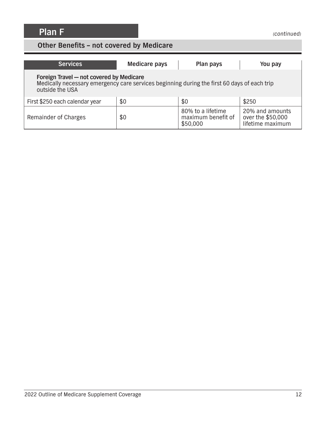## **Other Benefits – not covered by Medicare**

| <b>Services</b>                                                                                                                                            | <b>Medicare pays</b> | Plan pays                                           | You pay                                                  |
|------------------------------------------------------------------------------------------------------------------------------------------------------------|----------------------|-----------------------------------------------------|----------------------------------------------------------|
| Foreign Travel - not covered by Medicare<br>Medically necessary emergency care services beginning during the first 60 days of each trip<br>outside the USA |                      |                                                     |                                                          |
| First \$250 each calendar year                                                                                                                             | \$0                  | \$0                                                 | \$250                                                    |
| Remainder of Charges                                                                                                                                       | \$0                  | 80% to a lifetime<br>maximum benefit of<br>\$50,000 | 20% and amounts<br>over the \$50,000<br>lifetime maximum |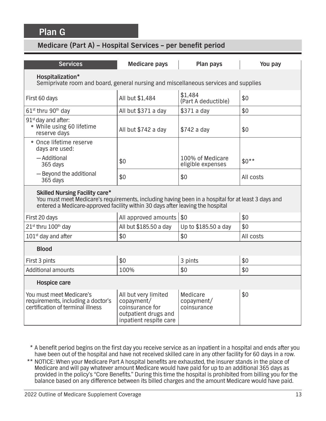## **Plan G**

| <b>Services</b>                                                                                                                                                                                                               | <b>Medicare pays</b>                                                                                    | Plan pays                             | You pay   |  |
|-------------------------------------------------------------------------------------------------------------------------------------------------------------------------------------------------------------------------------|---------------------------------------------------------------------------------------------------------|---------------------------------------|-----------|--|
| Hospitalization*<br>Semiprivate room and board, general nursing and miscellaneous services and supplies                                                                                                                       |                                                                                                         |                                       |           |  |
| First 60 days                                                                                                                                                                                                                 | All but \$1,484                                                                                         | \$1,484<br>(Part A deductible)        | \$0       |  |
| $61st$ thru $90th$ day                                                                                                                                                                                                        | All but \$371 a day                                                                                     | \$371 a day                           | \$0       |  |
| 91 <sup>st</sup> day and after:<br>• While using 60 lifetime<br>reserve days                                                                                                                                                  | All but \$742 a day                                                                                     | \$742 a day                           | \$0       |  |
| · Once lifetime reserve<br>days are used:                                                                                                                                                                                     |                                                                                                         |                                       |           |  |
| - Additional<br>365 days                                                                                                                                                                                                      | \$0                                                                                                     | 100% of Medicare<br>eligible expenses | $$0**$    |  |
| - Beyond the additional<br>365 days                                                                                                                                                                                           | \$0                                                                                                     | \$0                                   | All costs |  |
| <b>Skilled Nursing Facility care*</b><br>You must meet Medicare's requirements, including having been in a hospital for at least 3 days and<br>entered a Medicare-approved facility within 30 days after leaving the hospital |                                                                                                         |                                       |           |  |
| First 20 days                                                                                                                                                                                                                 | All approved amounts                                                                                    | \$0                                   | \$0       |  |
| 21st thru 100th day                                                                                                                                                                                                           | All but \$185.50 a day                                                                                  | Up to \$185.50 a day                  | \$0       |  |
| 101 <sup>st</sup> day and after                                                                                                                                                                                               | \$0                                                                                                     | \$0                                   | All costs |  |
| <b>Blood</b>                                                                                                                                                                                                                  |                                                                                                         |                                       |           |  |
| First 3 pints                                                                                                                                                                                                                 | \$0                                                                                                     | 3 pints                               | \$0       |  |
| <b>Additional amounts</b>                                                                                                                                                                                                     | 100%                                                                                                    | \$0                                   | \$0       |  |
| <b>Hospice care</b>                                                                                                                                                                                                           |                                                                                                         |                                       |           |  |
| You must meet Medicare's<br>requirements, including a doctor's<br>certification of terminal illness                                                                                                                           | All but very limited<br>copayment/<br>coinsurance for<br>outpatient drugs and<br>inpatient respite care | Medicare<br>copayment/<br>coinsurance | \$0       |  |

- \* A benefit period begins on the first day you receive service as an inpatient in a hospital and ends after you have been out of the hospital and have not received skilled care in any other facility for 60 days in a row.
- \*\* NOTICE: When your Medicare Part A hospital benefits are exhausted, the insurer stands in the place of Medicare and will pay whatever amount Medicare would have paid for up to an additional 365 days as provided in the policy's "Core Benefits." During this time the hospital is prohibited from billing you for the balance based on any difference between its billed charges and the amount Medicare would have paid.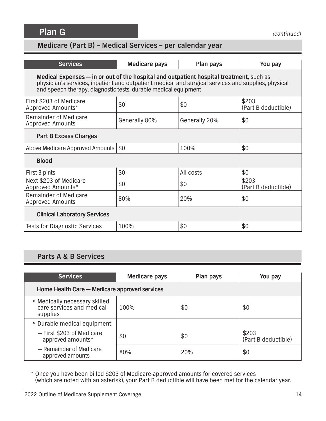**Plan G**

# **Medicare (Part B) – Medical Services – per calendar year**

| <b>Services</b>                                                                                                                                                                                                                                                   | Medicare pays | Plan pays     | You pay                      |  |
|-------------------------------------------------------------------------------------------------------------------------------------------------------------------------------------------------------------------------------------------------------------------|---------------|---------------|------------------------------|--|
| Medical Expenses - in or out of the hospital and outpatient hospital treatment, such as<br>physician's services, inpatient and outpatient medical and surgical services and supplies, physical<br>and speech therapy, diagnostic tests, durable medical equipment |               |               |                              |  |
| First \$203 of Medicare<br>Approved Amounts*                                                                                                                                                                                                                      | \$0           | \$0           | \$203<br>(Part B deductible) |  |
| <b>Remainder of Medicare</b><br><b>Approved Amounts</b>                                                                                                                                                                                                           | Generally 80% | Generally 20% | \$0                          |  |
| <b>Part B Excess Charges</b>                                                                                                                                                                                                                                      |               |               |                              |  |
| Above Medicare Approved Amounts   \$0                                                                                                                                                                                                                             |               | 100%          | \$0                          |  |
| <b>Blood</b>                                                                                                                                                                                                                                                      |               |               |                              |  |
| First 3 pints                                                                                                                                                                                                                                                     | \$0           | All costs     | \$0                          |  |
| Next \$203 of Medicare<br>Approved Amounts*                                                                                                                                                                                                                       | \$0           | \$0           | \$203<br>(Part B deductible) |  |
| Remainder of Medicare<br><b>Approved Amounts</b>                                                                                                                                                                                                                  | 80%           | 20%           | \$0                          |  |
| <b>Clinical Laboratory Services</b>                                                                                                                                                                                                                               |               |               |                              |  |
| <b>Tests for Diagnostic Services</b>                                                                                                                                                                                                                              | 100%          | \$0           | \$0                          |  |

## **Parts A & B Services**

| <b>Services</b>                                                        | <b>Medicare pays</b> | Plan pays | You pay                      |
|------------------------------------------------------------------------|----------------------|-----------|------------------------------|
| Home Health Care - Medicare approved services                          |                      |           |                              |
| • Medically necessary skilled<br>care services and medical<br>supplies | 100%                 | \$0       | \$0                          |
| • Durable medical equipment:                                           |                      |           |                              |
| - First \$203 of Medicare<br>approved amounts*                         | \$0                  | \$0       | \$203<br>(Part B deductible) |
| - Remainder of Medicare<br>approved amounts                            | 80%                  | 20%       | \$0                          |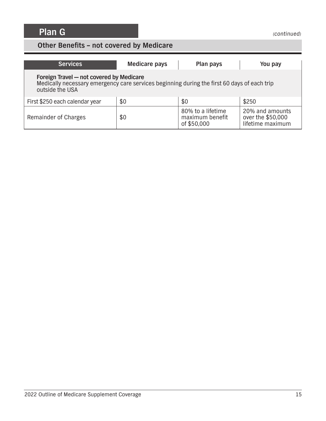## **Other Benefits – not covered by Medicare**

| <b>Services</b>                                                                                                                                            | <b>Medicare pays</b> | Plan pays                                           | You pay                                                  |
|------------------------------------------------------------------------------------------------------------------------------------------------------------|----------------------|-----------------------------------------------------|----------------------------------------------------------|
| Foreign Travel - not covered by Medicare<br>Medically necessary emergency care services beginning during the first 60 days of each trip<br>outside the USA |                      |                                                     |                                                          |
| First \$250 each calendar year                                                                                                                             | \$0                  | \$0                                                 | \$250                                                    |
| Remainder of Charges                                                                                                                                       | \$0                  | 80% to a lifetime<br>maximum benefit<br>of \$50,000 | 20% and amounts<br>over the \$50,000<br>lifetime maximum |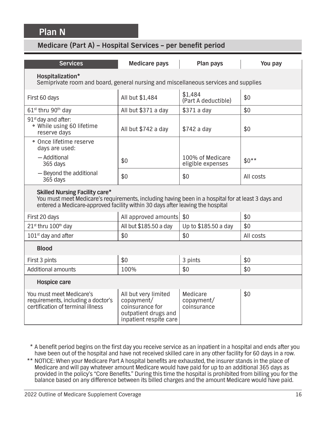**Plan N**

| <b>Services</b>                                                                                                                                                                                                               | <b>Medicare pays</b>                                                                                    | Plan pays                             | You pay   |  |
|-------------------------------------------------------------------------------------------------------------------------------------------------------------------------------------------------------------------------------|---------------------------------------------------------------------------------------------------------|---------------------------------------|-----------|--|
| Hospitalization*<br>Semiprivate room and board, general nursing and miscellaneous services and supplies                                                                                                                       |                                                                                                         |                                       |           |  |
| First 60 days                                                                                                                                                                                                                 | All but \$1,484                                                                                         | \$1,484<br>(Part A deductible)        | \$0       |  |
| 61 <sup>st</sup> thru 90 <sup>th</sup> day                                                                                                                                                                                    | All but \$371 a day                                                                                     | \$371 a day                           | \$0       |  |
| $91st$ day and after:<br>• While using 60 lifetime<br>reserve days                                                                                                                                                            | All but \$742 a day                                                                                     | \$742 a day                           | \$0       |  |
| · Once lifetime reserve<br>days are used:                                                                                                                                                                                     |                                                                                                         |                                       |           |  |
| - Additional<br>365 days                                                                                                                                                                                                      | \$0                                                                                                     | 100% of Medicare<br>eligible expenses | $$0**$    |  |
| - Beyond the additional<br>365 days                                                                                                                                                                                           | \$0                                                                                                     | \$0                                   | All costs |  |
| <b>Skilled Nursing Facility care*</b><br>You must meet Medicare's requirements, including having been in a hospital for at least 3 days and<br>entered a Medicare-approved facility within 30 days after leaving the hospital |                                                                                                         |                                       |           |  |
| First 20 days                                                                                                                                                                                                                 | All approved amounts                                                                                    | \$0                                   | \$0       |  |
| 21st thru 100th day                                                                                                                                                                                                           | All but \$185.50 a day                                                                                  | Up to \$185.50 a day                  | \$0       |  |
| 101 <sup>st</sup> day and after                                                                                                                                                                                               | \$0                                                                                                     | \$0                                   | All costs |  |
| <b>Blood</b>                                                                                                                                                                                                                  |                                                                                                         |                                       |           |  |
| First 3 pints                                                                                                                                                                                                                 | \$0                                                                                                     | 3 pints                               | \$0       |  |
| <b>Additional amounts</b>                                                                                                                                                                                                     | 100%                                                                                                    | \$0                                   | \$0       |  |
| <b>Hospice care</b>                                                                                                                                                                                                           |                                                                                                         |                                       |           |  |
| You must meet Medicare's<br>requirements, including a doctor's<br>certification of terminal illness                                                                                                                           | All but very limited<br>copayment/<br>coinsurance for<br>outpatient drugs and<br>inpatient respite care | Medicare<br>copayment/<br>coinsurance | \$0       |  |

- \* A benefit period begins on the first day you receive service as an inpatient in a hospital and ends after you have been out of the hospital and have not received skilled care in any other facility for 60 days in a row.
- \*\* NOTICE: When your Medicare Part A hospital benefits are exhausted, the insurer stands in the place of Medicare and will pay whatever amount Medicare would have paid for up to an additional 365 days as provided in the policy's "Core Benefits." During this time the hospital is prohibited from billing you for the balance based on any difference between its billed charges and the amount Medicare would have paid.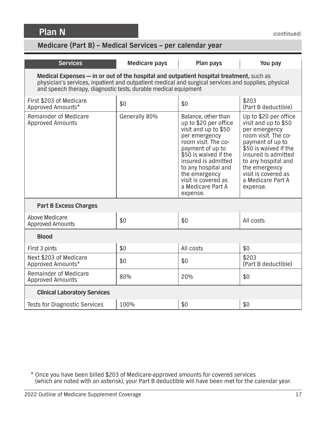**Plan N**

## **Medicare (Part B) – Medical Services – per calendar year**

| <b>Services</b>                                                                                                                                                                                                                                                   | <b>Medicare pays</b> | Plan pays                                                                                                                                                                                                                                                                        | You pay                                                                                                                                                                                                                                                   |  |
|-------------------------------------------------------------------------------------------------------------------------------------------------------------------------------------------------------------------------------------------------------------------|----------------------|----------------------------------------------------------------------------------------------------------------------------------------------------------------------------------------------------------------------------------------------------------------------------------|-----------------------------------------------------------------------------------------------------------------------------------------------------------------------------------------------------------------------------------------------------------|--|
| Medical Expenses - in or out of the hospital and outpatient hospital treatment, such as<br>physician's services, inpatient and outpatient medical and surgical services and supplies, physical<br>and speech therapy, diagnostic tests, durable medical equipment |                      |                                                                                                                                                                                                                                                                                  |                                                                                                                                                                                                                                                           |  |
| First \$203 of Medicare<br>Approved Amounts*                                                                                                                                                                                                                      | \$0                  | \$0                                                                                                                                                                                                                                                                              | \$203<br>(Part B deductible)                                                                                                                                                                                                                              |  |
| Remainder of Medicare<br><b>Approved Amounts</b>                                                                                                                                                                                                                  | Generally 80%        | Balance, other than<br>up to \$20 per office<br>visit and up to \$50<br>per emergency<br>room visit. The co-<br>payment of up to<br>\$50 is waived if the<br>insured is admitted<br>to any hospital and<br>the emergency<br>visit is covered as<br>a Medicare Part A<br>expense. | Up to \$20 per office<br>visit and up to \$50<br>per emergency<br>room visit. The co-<br>payment of up to<br>\$50 is waived if the<br>insured is admitted<br>to any hospital and<br>the emergency<br>visit is covered as<br>a Medicare Part A<br>expense. |  |
| <b>Part B Excess Charges</b>                                                                                                                                                                                                                                      |                      |                                                                                                                                                                                                                                                                                  |                                                                                                                                                                                                                                                           |  |
| Above Medicare<br><b>Approved Amounts</b>                                                                                                                                                                                                                         | \$0                  | \$0                                                                                                                                                                                                                                                                              | All costs                                                                                                                                                                                                                                                 |  |
| <b>Blood</b>                                                                                                                                                                                                                                                      |                      |                                                                                                                                                                                                                                                                                  |                                                                                                                                                                                                                                                           |  |
| First 3 pints                                                                                                                                                                                                                                                     | \$0                  | All costs                                                                                                                                                                                                                                                                        | \$0                                                                                                                                                                                                                                                       |  |
| Next \$203 of Medicare<br>Approved Amounts*                                                                                                                                                                                                                       | \$0                  | \$0                                                                                                                                                                                                                                                                              | \$203<br>(Part B deductible)                                                                                                                                                                                                                              |  |
| <b>Remainder of Medicare</b><br><b>Approved Amounts</b>                                                                                                                                                                                                           | 80%                  | 20%                                                                                                                                                                                                                                                                              | \$0                                                                                                                                                                                                                                                       |  |
| <b>Clinical Laboratory Services</b>                                                                                                                                                                                                                               |                      |                                                                                                                                                                                                                                                                                  |                                                                                                                                                                                                                                                           |  |
| <b>Tests for Diagnostic Services</b>                                                                                                                                                                                                                              | 100%                 | \$0                                                                                                                                                                                                                                                                              | \$0                                                                                                                                                                                                                                                       |  |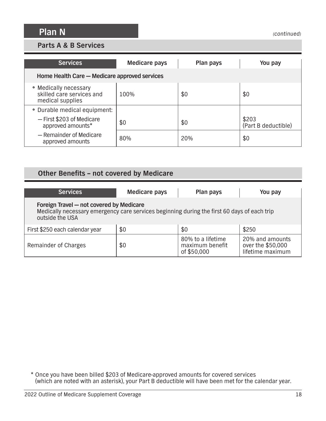### **Parts A & B Services**

| <b>Services</b>                                                        | <b>Medicare pays</b> | Plan pays | You pay                      |
|------------------------------------------------------------------------|----------------------|-----------|------------------------------|
| Home Health Care - Medicare approved services                          |                      |           |                              |
| • Medically necessary<br>skilled care services and<br>medical supplies | 100%                 | \$0       | \$0                          |
| • Durable medical equipment:                                           |                      |           |                              |
| - First \$203 of Medicare<br>approved amounts*                         | \$0                  | \$0       | \$203<br>(Part B deductible) |
| - Remainder of Medicare<br>approved amounts                            | 80%                  | 20%       | \$0                          |

## **Other Benefits – not covered by Medicare**

| <b>Services</b>                                                                                                                                            | <b>Medicare pays</b> | Plan pays                                           | You pay                                                  |  |
|------------------------------------------------------------------------------------------------------------------------------------------------------------|----------------------|-----------------------------------------------------|----------------------------------------------------------|--|
| Foreign Travel - not covered by Medicare<br>Medically necessary emergency care services beginning during the first 60 days of each trip<br>outside the USA |                      |                                                     |                                                          |  |
| First \$250 each calendar year                                                                                                                             | \$0                  | \$0                                                 | \$250                                                    |  |
| Remainder of Charges                                                                                                                                       | \$0                  | 80% to a lifetime<br>maximum benefit<br>of \$50,000 | 20% and amounts<br>over the \$50,000<br>lifetime maximum |  |

 <sup>\*</sup> Once you have been billed \$203 of Medicare-approved amounts for covered services (which are noted with an asterisk), your Part B deductible will have been met for the calendar year.